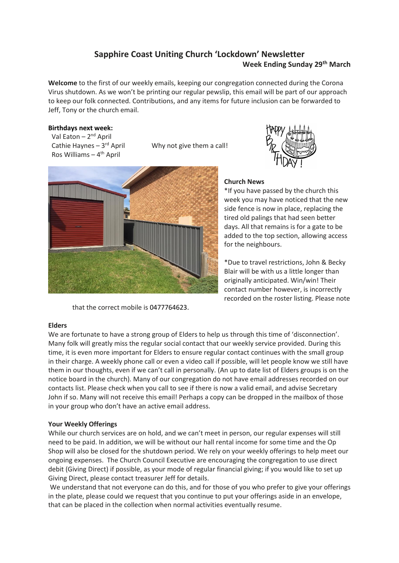# **Sapphire Coast Uniting Church 'Lockdown' Newsletter Week Ending Sunday 29th March**

**Welcome** to the first of our weekly emails, keeping our congregation connected during the Corona Virus shutdown. As we won't be printing our regular pewslip, this email will be part of our approach to keep our folk connected. Contributions, and any items for future inclusion can be forwarded to Jeff, Tony or the church email.

## **Birthdays next week:**

Val Eaton – 2<sup>nd</sup> April Cathie Haynes - 3rd April Ros Williams – 4<sup>th</sup> April

Why not give them a call!



that the correct mobile is 0477764623.

# **Church News**

\*If you have passed by the church this week you may have noticed that the new side fence is now in place, replacing the tired old palings that had seen better days. All that remains is for a gate to be added to the top section, allowing access for the neighbours.

\*Due to travel restrictions, John & Becky Blair will be with us a little longer than originally anticipated. Win/win! Their contact number however, is incorrectly recorded on the roster listing. Please note

### **Elders**

We are fortunate to have a strong group of Elders to help us through this time of 'disconnection'. Many folk will greatly miss the regular social contact that our weekly service provided. During this time, it is even more important for Elders to ensure regular contact continues with the small group in their charge. A weekly phone call or even a video call if possible, will let people know we still have them in our thoughts, even if we can't call in personally. (An up to date list of Elders groups is on the notice board in the church). Many of our congregation do not have email addresses recorded on our contacts list. Please check when you call to see if there is now a valid email, and advise Secretary John if so. Many will not receive this email! Perhaps a copy can be dropped in the mailbox of those in your group who don't have an active email address.

# **Your Weekly Offerings**

While our church services are on hold, and we can't meet in person, our regular expenses will still need to be paid. In addition, we will be without our hall rental income for some time and the Op Shop will also be closed for the shutdown period. We rely on your weekly offerings to help meet our ongoing expenses. The Church Council Executive are encouraging the congregation to use direct debit (Giving Direct) if possible, as your mode of regular financial giving; if you would like to set up Giving Direct, please contact treasurer Jeff for details.

We understand that not everyone can do this, and for those of you who prefer to give your offerings in the plate, please could we request that you continue to put your offerings aside in an envelope, that can be placed in the collection when normal activities eventually resume.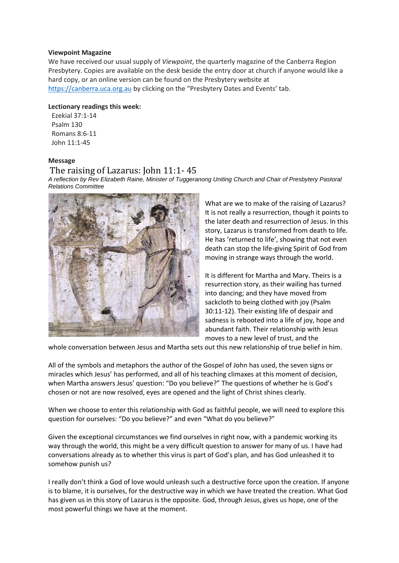#### **Viewpoint Magazine**

We have received our usual supply of *Viewpoint*, the quarterly magazine of the Canberra Region Presbytery. Copies are available on the desk beside the entry door at church if anyone would like a hard copy, or an online version can be found on the Presbytery website at [https://canberra.uca.org.au](https://canberra.uca.org.au/) by clicking on the "Presbytery Dates and Events' tab.

#### **Lectionary readings this week:**

 Ezekial 37:1-14 Psalm 130 Romans 8:6-11 John 11:1-45

### **Message**

# The raising of Lazarus: John 11:1- 45

*A reflection by Rev Elizabeth Raine, Minister of Tuggeranong Uniting Church and Chair of Presbytery Pastoral Relations Committee*



What are we to make of the raising of Lazarus? It is not really a resurrection, though it points to the later death and resurrection of Jesus. In this story, Lazarus is transformed from death to life. He has 'returned to life', showing that not even death can stop the life-giving Spirit of God from moving in strange ways through the world.

It is different for Martha and Mary. Theirs is a resurrection story, as their wailing has turned into dancing; and they have moved from sackcloth to being clothed with joy (Psalm 30:11-12). Their existing life of despair and sadness is rebooted into a life of joy, hope and abundant faith. Their relationship with Jesus moves to a new level of trust, and the

whole conversation between Jesus and Martha sets out this new relationship of true belief in him.

All of the symbols and metaphors the author of the Gospel of John has used, the seven signs or miracles which Jesus' has performed, and all of his teaching climaxes at this moment of decision, when Martha answers Jesus' question: "Do you believe?" The questions of whether he is God's chosen or not are now resolved, eyes are opened and the light of Christ shines clearly.

When we choose to enter this relationship with God as faithful people, we will need to explore this question for ourselves: "Do you believe?" and even "What do you believe?"

Given the exceptional circumstances we find ourselves in right now, with a pandemic working its way through the world, this might be a very difficult question to answer for many of us. I have had conversations already as to whether this virus is part of God's plan, and has God unleashed it to somehow punish us?

I really don't think a God of love would unleash such a destructive force upon the creation. If anyone is to blame, it is ourselves, for the destructive way in which we have treated the creation. What God has given us in this story of Lazarus is the opposite. God, through Jesus, gives us hope, one of the most powerful things we have at the moment.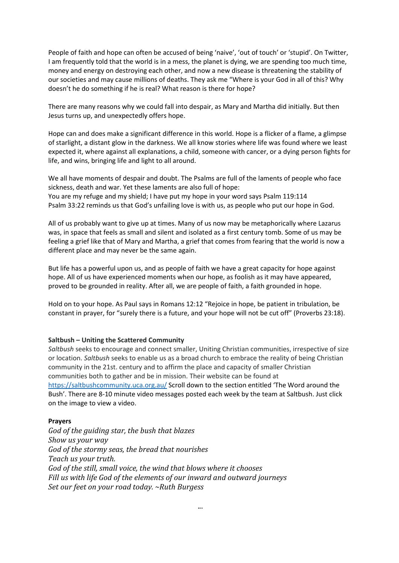People of faith and hope can often be accused of being 'naive', 'out of touch' or 'stupid'. On Twitter, I am frequently told that the world is in a mess, the planet is dying, we are spending too much time, money and energy on destroying each other, and now a new disease is threatening the stability of our societies and may cause millions of deaths. They ask me "Where is your God in all of this? Why doesn't he do something if he is real? What reason is there for hope?

There are many reasons why we could fall into despair, as Mary and Martha did initially. But then Jesus turns up, and unexpectedly offers hope.

Hope can and does make a significant difference in this world. Hope is a flicker of a flame, a glimpse of starlight, a distant glow in the darkness. We all know stories where life was found where we least expected it, where against all explanations, a child, someone with cancer, or a dying person fights for life, and wins, bringing life and light to all around.

We all have moments of despair and doubt. The Psalms are full of the laments of people who face sickness, death and war. Yet these laments are also full of hope: You are my refuge and my shield; I have put my hope in your word says Psalm 119:114 Psalm 33:22 reminds us that God's unfailing love is with us, as people who put our hope in God.

All of us probably want to give up at times. Many of us now may be metaphorically where Lazarus was, in space that feels as small and silent and isolated as a first century tomb. Some of us may be feeling a grief like that of Mary and Martha, a grief that comes from fearing that the world is now a different place and may never be the same again.

But life has a powerful upon us, and as people of faith we have a great capacity for hope against hope. All of us have experienced moments when our hope, as foolish as it may have appeared, proved to be grounded in reality. After all, we are people of faith, a faith grounded in hope.

Hold on to your hope. As Paul says in Romans 12:12 "Rejoice in hope, be patient in tribulation, be constant in prayer, for "surely there is a future, and your hope will not be cut off" (Proverbs 23:18).

#### **Saltbush – Uniting the Scattered Community**

*Saltbush* seeks to encourage and connect smaller, Uniting Christian communities, irrespective of size or location. *Saltbush* seeks to enable us as a broad church to embrace the reality of being Christian community in the 21st. century and to affirm the place and capacity of smaller Christian communities both to gather and be in mission. Their website can be found at <https://saltbushcommunity.uca.org.au/> Scroll down to the section entitled 'The Word around the Bush'. There are 8-10 minute video messages posted each week by the team at Saltbush. Just click on the image to view a video.

#### **Prayers**

*God of the guiding star, the bush that blazes Show us your way God of the stormy seas, the bread that nourishes Teach us your truth. God of the still, small voice, the wind that blows where it chooses Fill us with life God of the elements of our inward and outward journeys Set our feet on your road today. ~Ruth Burgess*